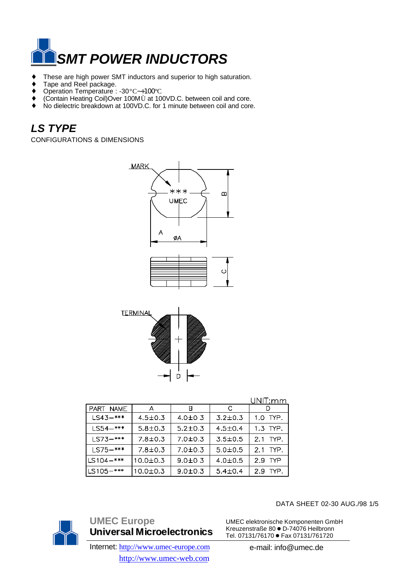

- ♦ These are high power SMT inductors and superior to high saturation.
- ◆ Tape and Reel package.
- ♦ Operation Temperature : -30°C~+100°C
- ♦ (Contain Heating Coil)Over 100MÙ at 100VD.C. between coil and core.
- ♦ No dielectric breakdown at 100VD.C. for 1 minute between coil and core.

# *LS TYPE*

CONFIGURATIONS & DIMENSIONS



|               |                |               |               | UNIT:mm  |
|---------------|----------------|---------------|---------------|----------|
| PART NAME     | A              | в             | -C            |          |
| $LS43-***$    | $4.5 \pm 0.3$  | $4.0{\pm}0.3$ | $3.2 \pm 0.3$ | 1.0 TYP. |
| $LS54-***$    | $5.8 \pm 0.3$  | $5.2 \pm 0.3$ | $4.5 \pm 0.4$ | 1.3 TYP. |
| $LS73-***$    | $7.8 \pm 0.3$  | $7.0 \pm 0.3$ | $3.5 \pm 0.5$ | 2.1 TYP. |
| $LS75-***$    | $7.8 \pm 0.3$  | $7.0 \pm 0.3$ | $5.0 \pm 0.5$ | 2.1 TYP. |
| $LS104 - ***$ | $10.0 \pm 0.3$ | $9.0 + 0.3$   | $4.0 \pm 0.5$ | 2.9 TYP  |
| $LS105 - ***$ | 10.0±0.3       | $9.0 + 0.3$   | $5.4 \pm 0.4$ | 2.9 TYP. |



**UMEC Europe Universal Microelectronics** Internet: http://www.umec-europe.com

http://www.umec-web.com

DATA SHEET 02-30 AUG./98 1/5

UMEC elektronische Komponenten GmbH Kreuzenstraße 80 · D-74076 Heilbronn Tel. 07131/76170 · Fax 07131/761720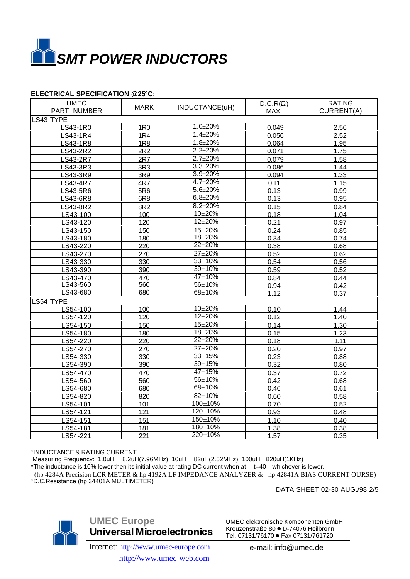

### **ELECTRICAL SPECIFICATION @25°C:**

| <b>UMEC</b><br>PART NUMBER | <b>MARK</b>     | INDUCTANCE(uH) | $D.C.R(\Omega)$<br>MAX. | <b>RATING</b><br>CURRENT(A) |  |  |
|----------------------------|-----------------|----------------|-------------------------|-----------------------------|--|--|
| LS43 TYPE                  |                 |                |                         |                             |  |  |
| LS43-1R0                   | <b>1R0</b>      | $1.0 + 20%$    | 0.049                   | 2.56                        |  |  |
| LS43-1R4                   | <b>1R4</b>      | $1.4 \pm 20%$  | 0.056                   | 2.52                        |  |  |
| LS43-1R8                   | <b>1R8</b>      | $1.8 + 20%$    | 0.064                   | 1.95                        |  |  |
| LS43-2R2                   | 2R2             | $2.2 + 20%$    | 0.071                   | 1.75                        |  |  |
| LS43-2R7                   | 2R7             | $2.7 \pm 20\%$ | 0.079                   | 1.58                        |  |  |
| LS43-3R3                   | 3R3             | $3.3 \pm 20\%$ | 0.086                   | 1.44                        |  |  |
| LS43-3R9                   | 3R9             | $3.9 + 20%$    | 0.094                   | 1.33                        |  |  |
| LS43-4R7                   | 4R7             | $4.7 \pm 20\%$ | 0.11                    | 1.15                        |  |  |
| LS43-5R6                   | 5R6             | $5.6 + 20%$    | 0.13                    | 0.99                        |  |  |
| LS43-6R8                   | 6R <sub>8</sub> | $6.8 + 20%$    | 0.13                    | 0.95                        |  |  |
| LS43-8R2                   | 8R2             | $8.2 + 20%$    | 0.15                    | 0.84                        |  |  |
| LS43-100                   | 100             | $10 + 20%$     | 0.18                    | 1.04                        |  |  |
| LS43-120                   | 120             | $12 + 20%$     | 0.21                    | 0.97                        |  |  |
| LS43-150                   | 150             | $15 + 20%$     | 0.24                    | 0.85                        |  |  |
| LS43-180                   | 180             | $18 + 20%$     | 0.34                    | 0.74                        |  |  |
| LS43-220                   | 220             | $22 + 20%$     | 0.38                    | 0.68                        |  |  |
| LS43-270                   | 270             | $27 + 20%$     | 0.52                    | 0.62                        |  |  |
| LS43-330                   | 330             | $33 \pm 10%$   | 0.54                    | 0.56                        |  |  |
| LS43-390                   | 390             | $39 \pm 10%$   | 0.59                    | 0.52                        |  |  |
| LS43-470                   | 470             | $47 + 10%$     | 0.84                    | 0.44                        |  |  |
| LS43-560                   | 560             | $56 \pm 10%$   | 0.94                    | 0.42                        |  |  |
| LS43-680                   | 680             | $68 + 10%$     | 1.12                    | 0.37                        |  |  |
|                            | LS54 TYPE       |                |                         |                             |  |  |
| LS54-100                   | 100             | $10 + 20%$     | 0.10                    | 1.44                        |  |  |
| LS54-120                   | 120             | $12 + 20%$     | 0.12                    | 1.40                        |  |  |
| LS54-150                   | 150             | $15 \pm 20%$   | 0.14                    | 1.30                        |  |  |
| LS54-180                   | 180             | $18 + 20%$     | 0.15                    | 1.23                        |  |  |
| LS54-220                   | 220             | $22 + 20%$     | 0.18                    | 1.11                        |  |  |
| LS54-270                   | 270             | $27 + 20%$     | 0.20                    | 0.97                        |  |  |
| LS54-330                   | 330             | $33 + 15%$     | 0.23                    | 0.88                        |  |  |
| LS54-390                   | 390             | $39 \pm 15%$   | 0.32                    | 0.80                        |  |  |
| LS54-470                   | 470             | $47 + 15%$     | 0.37                    | 0.72                        |  |  |
| LS54-560                   | 560             | 56±10%         | 0.42                    | 0.68                        |  |  |
| LS54-680                   | 680             | 68±10%         | 0.46                    | 0.61                        |  |  |
| LS54-820                   | 820             | $82 \pm 10\%$  | 0.60                    | 0.58                        |  |  |
| LS54-101                   | 101             | $100 \pm 10%$  | 0.70                    | 0.52                        |  |  |
| LS54-121                   | 121             | $120 \pm 10\%$ | 0.93                    | 0.48                        |  |  |
| LS54-151                   | 151             | $150 \pm 10\%$ | 1.10                    | 0.40                        |  |  |
| S54-181                    | 181             | 180±10%        | 1.38                    | 0.38                        |  |  |
| LS54-221                   | 221             | 220±10%        | 1.57                    | 0.35                        |  |  |

#### \*INDUCTANCE & RATING CURRENT

 Measuring Frequency: 1.0uH 8.2uH(7.96MHz), 10uH 82uH(2.52MHz) ;100uH 820uH(1KHz) \*The inductance is 10% lower then its initial value at rating DC current when at t=40 whichever is lower. (hp 4284A Precision LCR METER & hp 4192A LF IMPEDANCE ANALYZER & hp 42841A BIAS CURRENT OURSE) \*D.C.Resistance (hp 34401A MULTIMETER)

DATA SHEET 02-30 AUG./98 2/5



**UMEC Europe Universal Microelectronics**

Internet: http://www.umec-europe.com http://www.umec-web.com

UMEC elektronische Komponenten GmbH Kreuzenstraße 80 · D-74076 Heilbronn Tel. 07131/76170 · Fax 07131/761720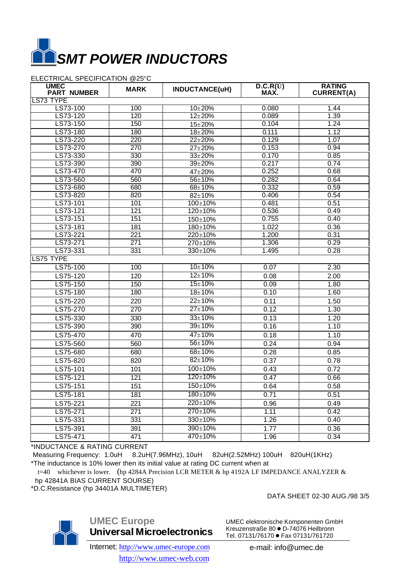

#### ELECTRICAL SPECIFICATION @25°C

| <b>UMEC</b><br><b>PART NUMBER</b> | <b>MARK</b>      | INDUCTANCE(uH) | $\overline{D.C.R(U)}$<br>MAX. | <b>RATING</b><br><b>CURRENT(A)</b> |
|-----------------------------------|------------------|----------------|-------------------------------|------------------------------------|
| LS73 TYPE                         |                  |                |                               |                                    |
| LS73-100                          | 100              | $10 \pm 20%$   | 0.080                         | 1.44                               |
| LS73-120                          | 120              | $12 \pm 20%$   | 0.089                         | 1.39                               |
| LS73-150                          | 150              | $15 + 20%$     | 0.104                         | 1.24                               |
| LS73-180                          | 180              | $18 + 20%$     | 0.111                         | 1.12                               |
| LS73-220                          | 220              | $22 + 20%$     | 0.129                         | 1.07                               |
| LS73-270                          | 270              | $27 + 20%$     | 0.153                         | 0.94                               |
| LS73-330                          | 330              | $33 + 20%$     | 0.170                         | 0.85                               |
| LS73-390                          | 390              | $39 + 20%$     | 0.217                         | 0.74                               |
| LS73-470                          | 470              | 47±20%         | 0.252                         | 0.68                               |
| LS73-560                          | 560              | 56±10%         | 0.282                         | 0.64                               |
| LS73-680                          | 680              | 68±10%         | 0.332                         | 0.59                               |
| LS73-820                          | 820              | $82 + 10%$     | 0.406                         | 0.54                               |
| LS73-101                          | 101              | $100 + 10%$    | 0.481                         | 0.51                               |
| LS73-121                          | 121              | 120±10%        | 0.536                         | 0.49                               |
| LS73-151                          | 151              | 150±10%        | 0.755                         | 0.40                               |
| LS73-181                          | 181              | $180 \pm 10\%$ | 1.022                         | 0.36                               |
| LS73-221                          | $\overline{221}$ | 220±10%        | 1.200                         | 0.31                               |
| LS73-271                          | 271              | 270±10%        | 1.306                         | 0.29                               |
| LS73-331                          | 331              | $330 \pm 10%$  | 1.495                         | 0.28                               |
| LS75 TYPE                         |                  |                |                               |                                    |
| LS75-100                          | 100              | $10 + 10%$     | 0.07                          | 2.30                               |
| $LS75-120$                        | 120              | $12 \pm 10\%$  | 0.08                          | 2.00                               |
| LS75-150                          | 150              | $15 + 10%$     | 0.09                          | 1.80                               |
| LS75-180                          | 180              | $18 + 10%$     | 0.10                          | 1.60                               |
| LS75-220                          | 220              | $22 \pm 10%$   | 0.11                          | 1.50                               |
| LS75-270                          | 270              | $27 \pm 10%$   | 0.12                          | 1.30                               |
| LS75-330                          | 330              | $33 + 10%$     | 0.13                          | 1.20                               |
| LS75-390                          | 390              | $39 \pm 10%$   | 0.16                          | 1.10                               |
| LS75-470                          | 470              | $47 \pm 10%$   | 0.18                          | 1.10                               |
| LS75-560                          | 560              | $56 \pm 10%$   | 0.24                          | 0.94                               |
| LS75-680                          | 680              | 68±10%         | 0.28                          | 0.85                               |
| LS75-820                          | 820              | $82 \pm 10%$   | 0.37                          | 0.78                               |
| LS75-101                          | 101              | $100 + 10%$    | 0.43                          | 0.72                               |
| LS75-121                          | 121              | 120±10%        | 0.47                          | 0.66                               |
| LS75-151                          | 151              | 150±10%        |                               |                                    |
|                                   | 181              | $180 \pm 10\%$ | 0.64<br>0.71                  | 0.58<br>0.51                       |
| LS75-181                          |                  |                |                               |                                    |
| LS75-221                          | 221              | 220±10%        | 0.96                          | 0.49                               |
| LS75-271                          | 271              | $270 \pm 10\%$ | 1.11                          | 0.42                               |
| LS75-331                          | 331              | $330 \pm 10\%$ | 1.26                          | 0.40                               |
| LS75-391                          | 391              | 390±10%        | 1.77                          | 0.36                               |
| LS75-471                          | 471              | 470±10%        | 1.96                          | 0.34                               |

\*INDUCTANCE & RATING CURRENT

 Measuring Frequency: 1.0uH 8.2uH(7.96MHz), 10uH 82uH(2.52MHz) 100uH 820uH(1KHz) \*The inductance is 10% lower then its initial value at rating DC current when at

t=40 whichever is lower. (hp 4284A Precision LCR METER & hp 4192A LF IMPEDANCE ANALYZER & hp 42841A BIAS CURRENT SOURSE)

\*D.C.Resistance (hp 34401A MULTIMETER)

DATA SHEET 02-30 AUG./98 3/5



**UMEC Europe Universal Microelectronics**

UMEC elektronische Komponenten GmbH Kreuzenstraße 80 · D-74076 Heilbronn Tel. 07131/76170 · Fax 07131/761720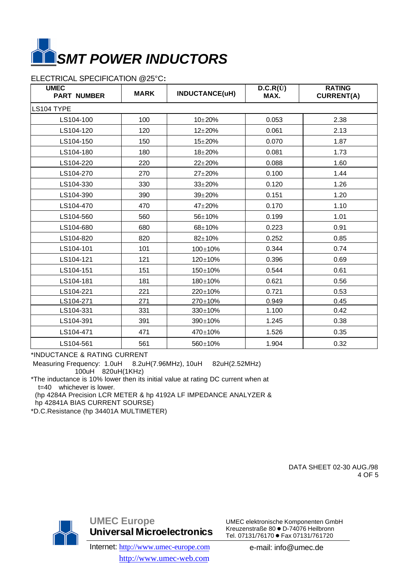

## ELECTRICAL SPECIFICATION @25°C**:**

| <b>UMEC</b><br><b>PART NUMBER</b> | <b>MARK</b> | INDUCTANCE(uH) | $D.C.R(\tilde{U})$<br>MAX. | <b>RATING</b><br><b>CURRENT(A)</b> |
|-----------------------------------|-------------|----------------|----------------------------|------------------------------------|
| LS104 TYPE                        |             |                |                            |                                    |
| LS104-100                         | 100         | $10 + 20%$     | 0.053                      | 2.38                               |
| LS104-120                         | 120         | $12 + 20%$     | 0.061                      | 2.13                               |
| LS104-150                         | 150         | $15 + 20%$     | 0.070                      | 1.87                               |
| LS104-180                         | 180         | $18 + 20%$     | 0.081                      | 1.73                               |
| LS104-220                         | 220         | $22 + 20%$     | 0.088                      | 1.60                               |
| LS104-270                         | 270         | $27 + 20%$     | 0.100                      | 1.44                               |
| LS104-330                         | 330         | $33 + 20%$     | 0.120                      | 1.26                               |
| LS104-390                         | 390         | $39 + 20%$     | 0.151                      | 1.20                               |
| LS104-470                         | 470         | 47±20%         | 0.170                      | 1.10                               |
| LS104-560                         | 560         | 56±10%         | 0.199                      | 1.01                               |
| LS104-680                         | 680         | $68 + 10%$     | 0.223                      | 0.91                               |
| LS104-820                         | 820         | $82 + 10%$     | 0.252                      | 0.85                               |
| LS104-101                         | 101         | $100 + 10%$    | 0.344                      | 0.74                               |
| LS104-121                         | 121         | 120±10%        | 0.396                      | 0.69                               |
| LS104-151                         | 151         | 150±10%        | 0.544                      | 0.61                               |
| LS104-181                         | 181         | 180±10%        | 0.621                      | 0.56                               |
| LS104-221                         | 221         | 220±10%        | 0.721                      | 0.53                               |
| LS104-271                         | 271         | 270±10%        | 0.949                      | 0.45                               |
| LS104-331                         | 331         | $330 \pm 10\%$ | 1.100                      | 0.42                               |
| LS104-391                         | 391         | 390±10%        | 1.245                      | 0.38                               |
| LS104-471                         | 471         | 470±10%        | 1.526                      | 0.35                               |
| LS104-561                         | 561         | 560±10%        | 1.904                      | 0.32                               |

\*INDUCTANCE & RATING CURRENT

 Measuring Frequency: 1.0uH 8.2uH(7.96MHz), 10uH 82uH(2.52MHz) 100uH 820uH(1KHz)

\*The inductance is 10% lower then its initial value at rating DC current when at t=40 whichever is lower.

 (hp 4284A Precision LCR METER & hp 4192A LF IMPEDANCE ANALYZER & hp 42841A BIAS CURRENT SOURSE)

\*D.C.Resistance (hp 34401A MULTIMETER)

 DATA SHEET 02-30 AUG./98 4 OF 5



**UMEC Europe Universal Microelectronics**

Internet: http://www.umec-europe.com http://www.umec-web.com

UMEC elektronische Komponenten GmbH Kreuzenstraße 80 · D-74076 Heilbronn Tel. 07131/76170 · Fax 07131/761720